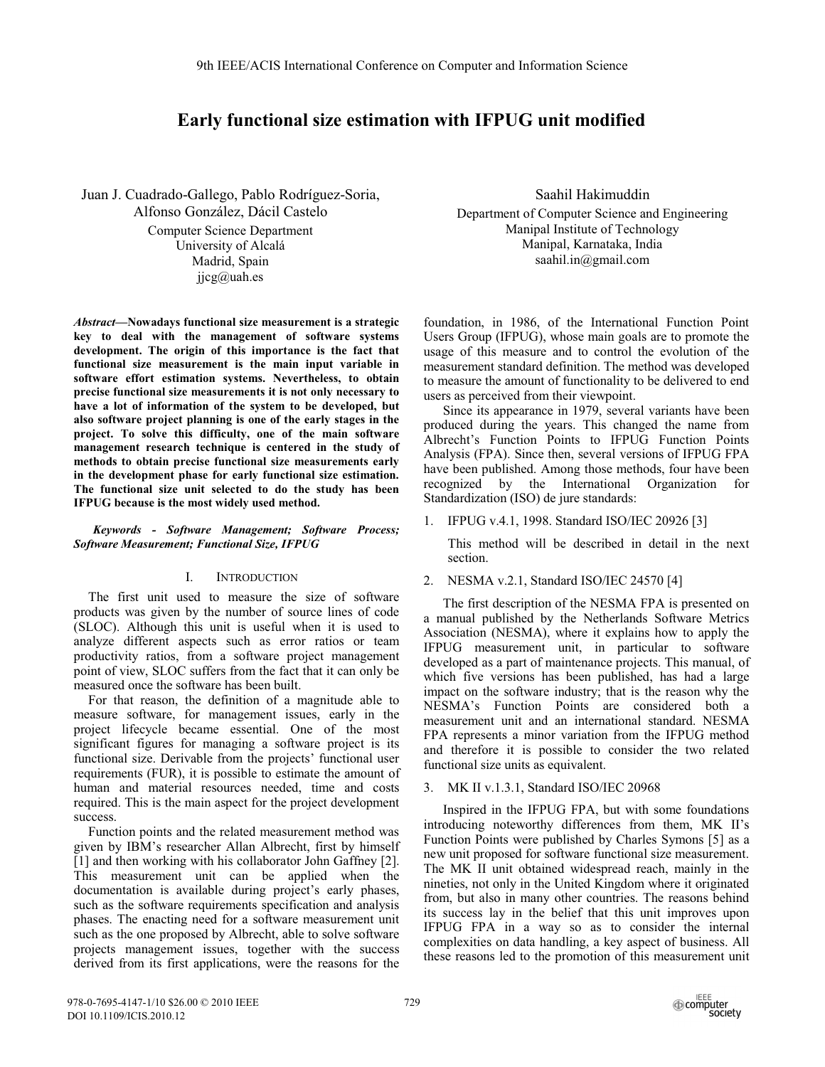# **Early functional size estimation with IFPUG unit modified**

Juan J. Cuadrado-Gallego, Pablo Rodríguez-Soria, Alfonso González, Dácil Castelo Computer Science Department University of Alcalá Madrid, Spain  $ijcg@$ uah.es

*Abstract***—Nowadays functional size measurement is a strategic key to deal with the management of software systems development. The origin of this importance is the fact that functional size measurement is the main input variable in software effort estimation systems. Nevertheless, to obtain precise functional size measurements it is not only necessary to have a lot of information of the system to be developed, but also software project planning is one of the early stages in the project. To solve this difficulty, one of the main software management research technique is centered in the study of methods to obtain precise functional size measurements early in the development phase for early functional size estimation. The functional size unit selected to do the study has been IFPUG because is the most widely used method.** 

*Keywords - Software Management; Software Process; Software Measurement; Functional Size, IFPUG* 

# I. INTRODUCTION

The first unit used to measure the size of software products was given by the number of source lines of code (SLOC). Although this unit is useful when it is used to analyze different aspects such as error ratios or team productivity ratios, from a software project management point of view, SLOC suffers from the fact that it can only be measured once the software has been built.

For that reason, the definition of a magnitude able to measure software, for management issues, early in the project lifecycle became essential. One of the most significant figures for managing a software project is its functional size. Derivable from the projects' functional user requirements (FUR), it is possible to estimate the amount of human and material resources needed, time and costs required. This is the main aspect for the project development success.

Function points and the related measurement method was given by IBM's researcher Allan Albrecht, first by himself [1] and then working with his collaborator John Gaffney [2]. This measurement unit can be applied when the documentation is available during project's early phases, such as the software requirements specification and analysis phases. The enacting need for a software measurement unit such as the one proposed by Albrecht, able to solve software projects management issues, together with the success derived from its first applications, were the reasons for the

Saahil Hakimuddin

Department of Computer Science and Engineering Manipal Institute of Technology Manipal, Karnataka, India saahil.in@gmail.com

foundation, in 1986, of the International Function Point Users Group (IFPUG), whose main goals are to promote the usage of this measure and to control the evolution of the measurement standard definition. The method was developed to measure the amount of functionality to be delivered to end users as perceived from their viewpoint.

Since its appearance in 1979, several variants have been produced during the years. This changed the name from Albrecht's Function Points to IFPUG Function Points Analysis (FPA). Since then, several versions of IFPUG FPA have been published. Among those methods, four have been recognized by the International Organization for Standardization (ISO) de jure standards:

1. IFPUG v.4.1, 1998. Standard ISO/IEC 20926 [3]

This method will be described in detail in the next section.

2. NESMA v.2.1, Standard ISO/IEC 24570 [4]

The first description of the NESMA FPA is presented on a manual published by the Netherlands Software Metrics Association (NESMA), where it explains how to apply the IFPUG measurement unit, in particular to software developed as a part of maintenance projects. This manual, of which five versions has been published, has had a large impact on the software industry; that is the reason why the NESMA's Function Points are considered both a measurement unit and an international standard. NESMA FPA represents a minor variation from the IFPUG method and therefore it is possible to consider the two related functional size units as equivalent.

# 3. MK II v.1.3.1, Standard ISO/IEC 20968

Inspired in the IFPUG FPA, but with some foundations introducing noteworthy differences from them, MK II's Function Points were published by Charles Symons [5] as a new unit proposed for software functional size measurement. The MK II unit obtained widespread reach, mainly in the nineties, not only in the United Kingdom where it originated from, but also in many other countries. The reasons behind its success lay in the belief that this unit improves upon IFPUG FPA in a way so as to consider the internal complexities on data handling, a key aspect of business. All these reasons led to the promotion of this measurement unit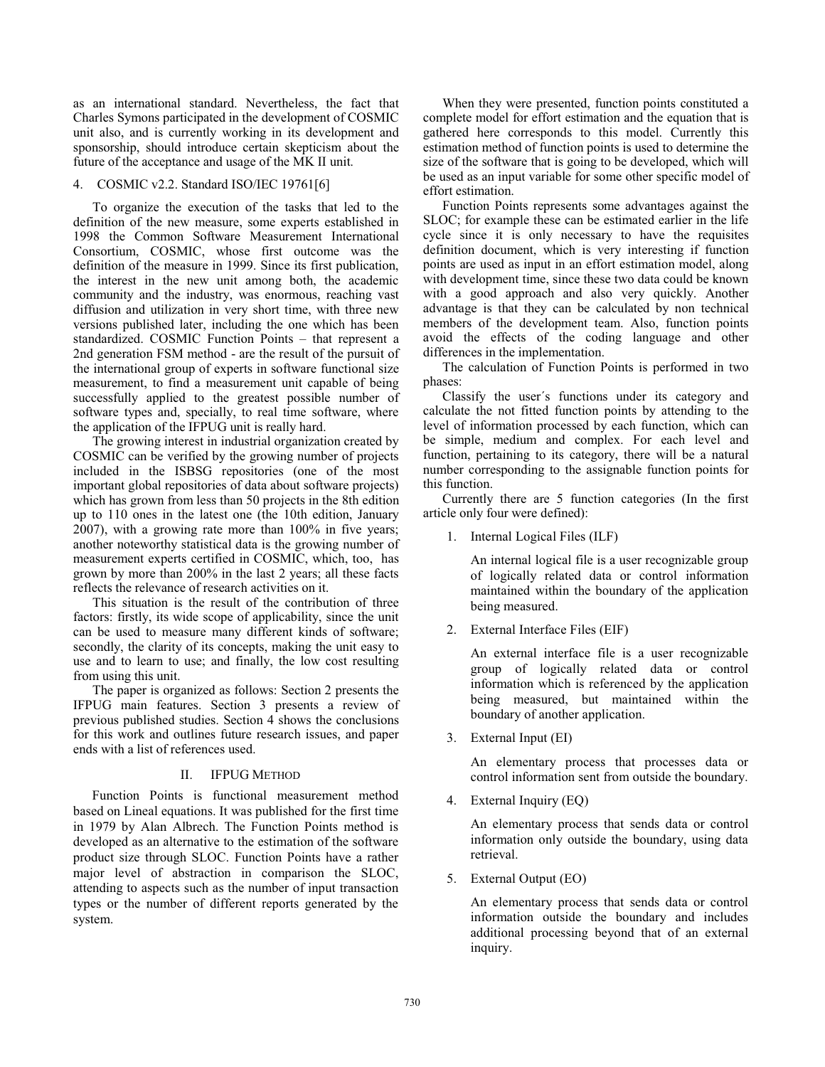as an international standard. Nevertheless, the fact that Charles Symons participated in the development of COSMIC unit also, and is currently working in its development and sponsorship, should introduce certain skepticism about the future of the acceptance and usage of the MK II unit.

## 4. COSMIC v2.2. Standard ISO/IEC 19761[6]

To organize the execution of the tasks that led to the definition of the new measure, some experts established in 1998 the Common Software Measurement International Consortium, COSMIC, whose first outcome was the definition of the measure in 1999. Since its first publication, the interest in the new unit among both, the academic community and the industry, was enormous, reaching vast diffusion and utilization in very short time, with three new versions published later, including the one which has been standardized. COSMIC Function Points – that represent a 2nd generation FSM method - are the result of the pursuit of the international group of experts in software functional size measurement, to find a measurement unit capable of being successfully applied to the greatest possible number of software types and, specially, to real time software, where the application of the IFPUG unit is really hard.

The growing interest in industrial organization created by COSMIC can be verified by the growing number of projects included in the ISBSG repositories (one of the most important global repositories of data about software projects) which has grown from less than 50 projects in the 8th edition up to 110 ones in the latest one (the 10th edition, January 2007), with a growing rate more than 100% in five years; another noteworthy statistical data is the growing number of measurement experts certified in COSMIC, which, too, has grown by more than 200% in the last 2 years; all these facts reflects the relevance of research activities on it.

This situation is the result of the contribution of three factors: firstly, its wide scope of applicability, since the unit can be used to measure many different kinds of software; secondly, the clarity of its concepts, making the unit easy to use and to learn to use; and finally, the low cost resulting from using this unit.

The paper is organized as follows: Section 2 presents the IFPUG main features. Section 3 presents a review of previous published studies. Section 4 shows the conclusions for this work and outlines future research issues, and paper ends with a list of references used.

#### II. IFPUG METHOD

Function Points is functional measurement method based on Lineal equations. It was published for the first time in 1979 by Alan Albrech. The Function Points method is developed as an alternative to the estimation of the software product size through SLOC. Function Points have a rather major level of abstraction in comparison the SLOC, attending to aspects such as the number of input transaction types or the number of different reports generated by the system.

When they were presented, function points constituted a complete model for effort estimation and the equation that is gathered here corresponds to this model. Currently this estimation method of function points is used to determine the size of the software that is going to be developed, which will be used as an input variable for some other specific model of effort estimation.

Function Points represents some advantages against the SLOC; for example these can be estimated earlier in the life cycle since it is only necessary to have the requisites definition document, which is very interesting if function points are used as input in an effort estimation model, along with development time, since these two data could be known with a good approach and also very quickly. Another advantage is that they can be calculated by non technical members of the development team. Also, function points avoid the effects of the coding language and other differences in the implementation.

The calculation of Function Points is performed in two phases:

Classify the user´s functions under its category and calculate the not fitted function points by attending to the level of information processed by each function, which can be simple, medium and complex. For each level and function, pertaining to its category, there will be a natural number corresponding to the assignable function points for this function.

Currently there are 5 function categories (In the first article only four were defined):

1. Internal Logical Files (ILF)

An internal logical file is a user recognizable group of logically related data or control information maintained within the boundary of the application being measured.

2. External Interface Files (EIF)

An external interface file is a user recognizable group of logically related data or control information which is referenced by the application being measured, but maintained within the boundary of another application.

3. External Input (EI)

An elementary process that processes data or control information sent from outside the boundary.

4. External Inquiry (EQ)

An elementary process that sends data or control information only outside the boundary, using data retrieval.

5. External Output (EO)

An elementary process that sends data or control information outside the boundary and includes additional processing beyond that of an external inquiry.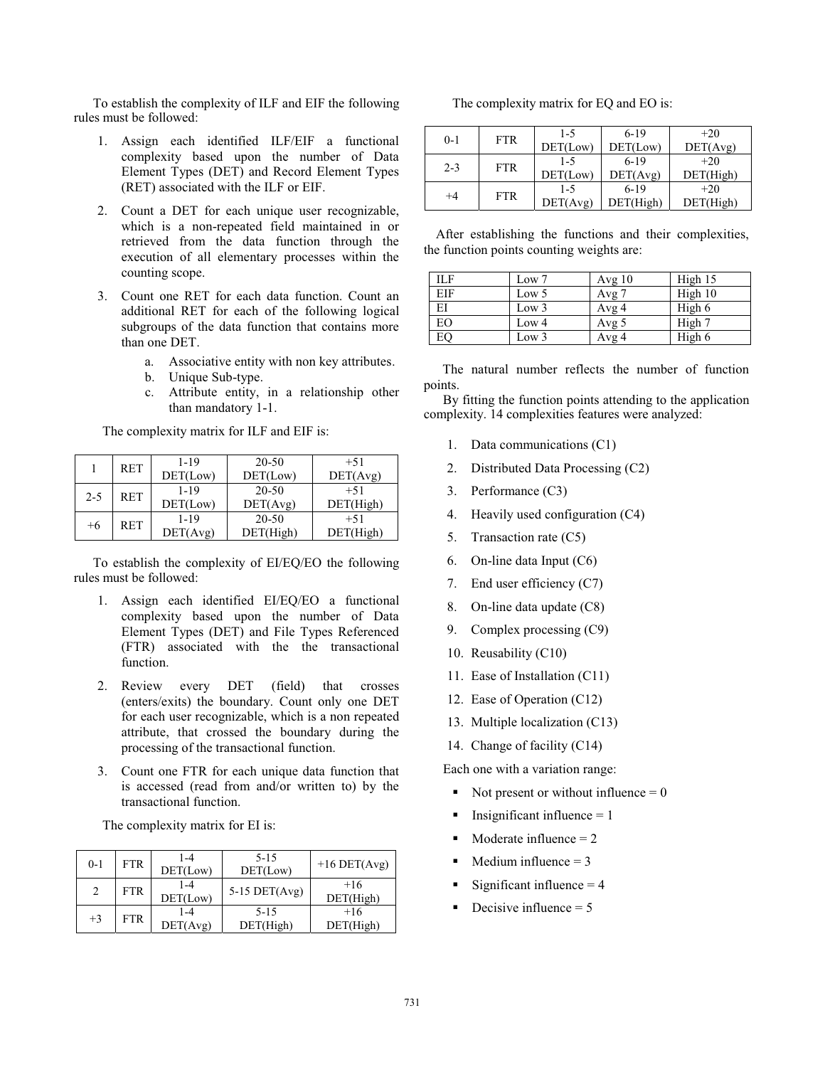To establish the complexity of ILF and EIF the following rules must be followed:

- 1. Assign each identified ILF/EIF a functional complexity based upon the number of Data Element Types (DET) and Record Element Types (RET) associated with the ILF or EIF.
- 2. Count a DET for each unique user recognizable, which is a non-repeated field maintained in or retrieved from the data function through the execution of all elementary processes within the counting scope.
- 3. Count one RET for each data function. Count an additional RET for each of the following logical subgroups of the data function that contains more than one DET.
	- a. Associative entity with non key attributes.
	- b. Unique Sub-type.
	- c. Attribute entity, in a relationship other than mandatory 1-1.

The complexity matrix for ILF and EIF is:

|         | <b>RET</b> | $1 - 19$ | 20-50     | $+51$     |
|---------|------------|----------|-----------|-----------|
|         |            | DET(Low) | DET(Low)  | DET(Avg)  |
| $2 - 5$ | <b>RET</b> | $1 - 19$ | 20-50     | $+51$     |
|         |            | DET(Low) | DET(Avg)  | DET(High) |
| $+6$    | <b>RET</b> | $1 - 19$ | $20 - 50$ | $+51$     |
|         |            | DET(Avg) | DET(High) | DET(High) |

To establish the complexity of EI/EQ/EO the following rules must be followed:

- 1. Assign each identified EI/EQ/EO a functional complexity based upon the number of Data Element Types (DET) and File Types Referenced (FTR) associated with the the transactional function.
- 2. Review every DET (field) that crosses (enters/exits) the boundary. Count only one DET for each user recognizable, which is a non repeated attribute, that crossed the boundary during the processing of the transactional function.
- 3. Count one FTR for each unique data function that is accessed (read from and/or written to) by the transactional function.

The complexity matrix for EI is:

| $0 - 1$        | <b>FTR</b> | 1-4<br>DET(Low)     | $5 - 15$<br>DET(Low)  | $+16$ DET(Avg)     |
|----------------|------------|---------------------|-----------------------|--------------------|
| $\overline{c}$ | <b>FTR</b> | 1-4<br>DET(Low)     | $5-15$ DET(Avg)       | $+16$<br>DEF(High) |
| $+3$           | <b>FTR</b> | $1 - 4$<br>DET(Avg) | $5 - 15$<br>DET(High) | $+16$<br>DET(High) |

The complexity matrix for EQ and EO is:

| $0 - 1$ | <b>FTR</b> | $1 - 5$  | $6-19$    | $+20$     |
|---------|------------|----------|-----------|-----------|
|         |            | DET(Low) | DET(Low)  | DET(Avg)  |
| $2 - 3$ | <b>FTR</b> | $1 - 5$  | $6-19$    | $+20$     |
|         |            | DET(Low) | DET(Avg)  | DET(High) |
| $+4$    | <b>FTR</b> | $1 - 5$  | $6-19$    | $+20$     |
|         |            | DEF(Avg) | DET(High) | DET(High) |

 After establishing the functions and their complexities, the function points counting weights are:

| <b>ILF</b> | Low 7            | Avg $10$ | High 15 |
|------------|------------------|----------|---------|
| EIF        | Low 5            | Avg $7$  | High 10 |
| EI         | Low <sub>3</sub> | Avg 4    | High 6  |
| EО         | Low <sub>4</sub> | Avg 5    | High 7  |
| EO         | Low <sub>3</sub> | Avg 4    | High 6  |

The natural number reflects the number of function points.

By fitting the function points attending to the application complexity. 14 complexities features were analyzed:

- 1. Data communications (C1)
- 2. Distributed Data Processing (C2)
- 3. Performance (C3)
- 4. Heavily used configuration (C4)
- 5. Transaction rate (C5)
- 6. On-line data Input (C6)
- 7. End user efficiency (C7)
- 8. On-line data update (C8)
- 9. Complex processing (C9)
- 10. Reusability (C10)
- 11. Ease of Installation (C11)
- 12. Ease of Operation (C12)
- 13. Multiple localization (C13)
- 14. Change of facility (C14)

Each one with a variation range:

- -Not present or without influence  $= 0$
- -Insignificant influence  $= 1$
- -Moderate influence  $= 2$
- -Medium influence  $= 3$
- -Significant influence  $= 4$
- -Decisive influence  $= 5$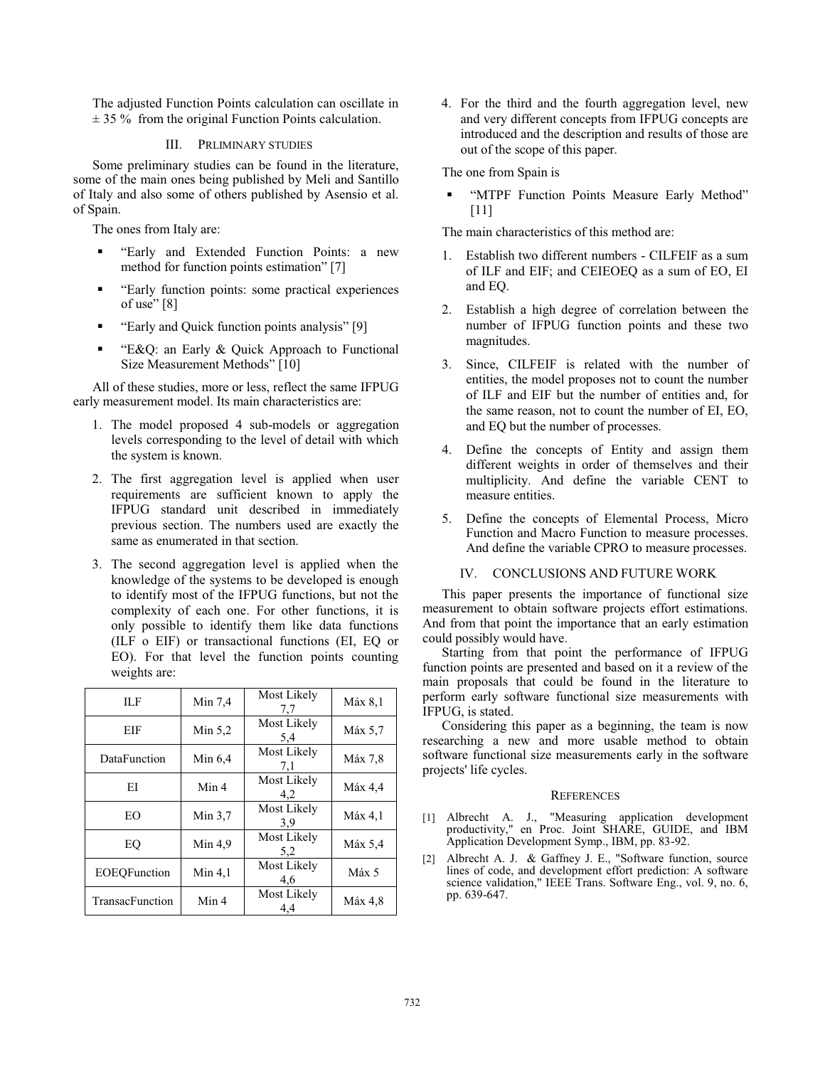The adjusted Function Points calculation can oscillate in  $\pm$  35 % from the original Function Points calculation.

## III. PRLIMINARY STUDIES

Some preliminary studies can be found in the literature, some of the main ones being published by Meli and Santillo of Italy and also some of others published by Asensio et al. of Spain.

The ones from Italy are:

- - "Early and Extended Function Points: a new method for function points estimation" [7]
- - "Early function points: some practical experiences of use"  $[8]$
- -"Early and Quick function points analysis" [9]
- - "E&Q: an Early & Quick Approach to Functional Size Measurement Methods" [10]

All of these studies, more or less, reflect the same IFPUG early measurement model. Its main characteristics are:

- 1. The model proposed 4 sub-models or aggregation levels corresponding to the level of detail with which the system is known.
- 2. The first aggregation level is applied when user requirements are sufficient known to apply the IFPUG standard unit described in immediately previous section. The numbers used are exactly the same as enumerated in that section.
- 3. The second aggregation level is applied when the knowledge of the systems to be developed is enough to identify most of the IFPUG functions, but not the complexity of each one. For other functions, it is only possible to identify them like data functions (ILF o EIF) or transactional functions (EI, EQ or EO). For that level the function points counting weights are:

| ШF              | Min 7.4 | Most Likely<br>7,7 | Máx 8,1 |
|-----------------|---------|--------------------|---------|
| EIF             | Min 5.2 | Most Likely<br>5,4 | Máx 5,7 |
| DataFunction    | Min 6.4 | Most Likely<br>7,1 | Máx 7,8 |
| ΕI              | Min 4   | Most Likely<br>4,2 | Máx 4,4 |
| EO              | Min 3.7 | Most Likely<br>3,9 | Máx 4,1 |
| EQ              | Min 4.9 | Most Likely<br>5,2 | Máx 5,4 |
| EOEQFunction    | Min 4.1 | Most Likely<br>4.6 | Máx 5   |
| TransacFunction | Min 4   | Most Likely<br>4.4 | Máx 4,8 |

4. For the third and the fourth aggregation level, new and very different concepts from IFPUG concepts are introduced and the description and results of those are out of the scope of this paper.

The one from Spain is

- "MTPF Function Points Measure Early Method" [11]

The main characteristics of this method are:

- 1. Establish two different numbers CILFEIF as a sum of ILF and EIF; and CEIEOEQ as a sum of EO, EI and EQ.
- 2. Establish a high degree of correlation between the number of IFPUG function points and these two magnitudes.
- 3. Since, CILFEIF is related with the number of entities, the model proposes not to count the number of ILF and EIF but the number of entities and, for the same reason, not to count the number of EI, EO, and EQ but the number of processes.
- 4. Define the concepts of Entity and assign them different weights in order of themselves and their multiplicity. And define the variable CENT to measure entities.
- 5. Define the concepts of Elemental Process, Micro Function and Macro Function to measure processes. And define the variable CPRO to measure processes.

### IV. CONCLUSIONS AND FUTURE WORK

This paper presents the importance of functional size measurement to obtain software projects effort estimations. And from that point the importance that an early estimation could possibly would have.

Starting from that point the performance of IFPUG function points are presented and based on it a review of the main proposals that could be found in the literature to perform early software functional size measurements with IFPUG, is stated.

Considering this paper as a beginning, the team is now researching a new and more usable method to obtain software functional size measurements early in the software projects' life cycles.

#### **REFERENCES**

- [1] Albrecht A. J., "Measuring application development productivity," en Proc. Joint SHARE, GUIDE, and IBM Application Development Symp., IBM, pp. 83-92.
- [2] Albrecht A. J. & Gaffney J. E., "Software function, source lines of code, and development effort prediction: A software science validation," IEEE Trans. Software Eng., vol. 9, no. 6, pp. 639-647.